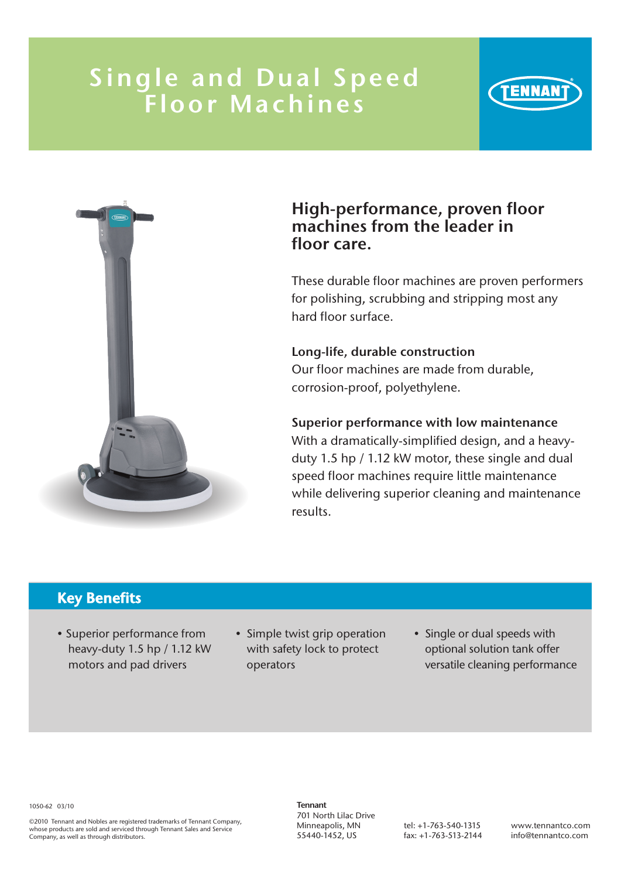## Single and Dual Speed Floor Machines



## High-performance, proven floor machines from the leader in floor care.

These durable floor machines are proven performers for polishing, scrubbing and stripping most any hard floor surface.

#### Long-life, durable construction Our floor machines are made from durable, corrosion-proof, polyethylene.

#### Superior performance with low maintenance

With a dramatically-simplified design, and a heavyduty 1.5 hp / 1.12 kW motor, these single and dual speed floor machines require little maintenance while delivering superior cleaning and maintenance results.

## Key Benefits

- Superior performance from heavy-duty 1.5 hp / 1.12 kW motors and pad drivers
- Simple twist grip operation with safety lock to protect operators
- Single or dual speeds with optional solution tank offer versatile cleaning performance

1050-62 03/10

©2010 Tennant and Nobles are registered trademarks of Tennant Company, whose products are sold and serviced through Tennant Sales and Service Company, as well as through distributors.

Tennant 701 North Lilac Drive Minneapolis, MN 55440-1452, US

tel: +1-763-540-1315 fax: +1-763-513-2144

www.tennantco.com info@tennantco.com